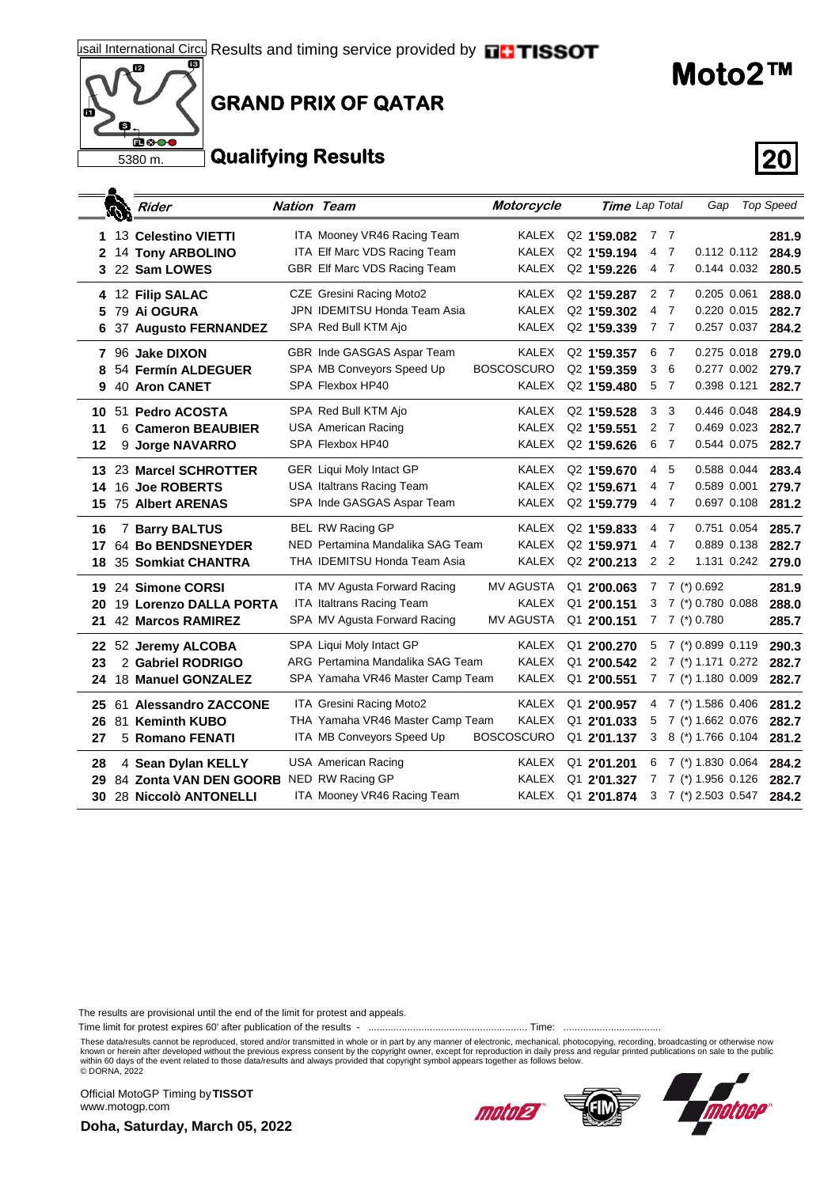## 啊 囮  $\overline{\mathbf{a}^{\circledcirc}}$ 5380 m.

#### **GRAND PRIX OF QATAR**

#### **Qualifying Results 20**

|                 | Í, | Rider                                                                 | <b>Nation Team</b> |                                                                                                   | Motorcycle                                    | Time Lap Total                                                                |             |                                         | Gap                                                                       |                            | <b>Top Speed</b>        |
|-----------------|----|-----------------------------------------------------------------------|--------------------|---------------------------------------------------------------------------------------------------|-----------------------------------------------|-------------------------------------------------------------------------------|-------------|-----------------------------------------|---------------------------------------------------------------------------|----------------------------|-------------------------|
| 1.<br>2         |    | 13 Celestino VIETTI<br><b>14 Tony ARBOLINO</b><br>3 22 Sam LOWES      |                    | ITA Mooney VR46 Racing Team<br>ITA Elf Marc VDS Racing Team<br>GBR Elf Marc VDS Racing Team       | KALEX<br>KALEX<br><b>KALEX</b>                | Q <sub>2</sub> 1'59.082<br>Q2 1'59.194<br>Q2 1'59.226                         | 4           | 7 7<br>$\overline{7}$<br>4 7            |                                                                           | 0.112 0.112<br>0.144 0.032 | 281.9<br>284.9<br>280.5 |
| 5<br>6          |    | 4 12 Filip SALAC<br>79 Ai OGURA<br>37 Augusto FERNANDEZ               |                    | CZE Gresini Racing Moto2<br>JPN IDEMITSU Honda Team Asia<br>SPA Red Bull KTM Ajo                  | KALEX<br>KALEX<br>KALEX                       | Q <sub>2</sub> 1'59.287<br>Q <sub>2</sub> 1'59.302<br>Q2 1'59.339             | 4           | 2 7<br>- 7<br>7 <sub>7</sub>            | 0.205 0.061                                                               | 0.220 0.015<br>0.257 0.037 | 288.0<br>282.7<br>284.2 |
| 8<br>9          |    | 7 96 Jake DIXON<br>54 Fermín ALDEGUER<br><b>40 Aron CANET</b>         |                    | GBR Inde GASGAS Aspar Team<br>SPA MB Conveyors Speed Up<br>SPA Flexbox HP40                       | KALEX<br><b>BOSCOSCURO</b><br>KALEX           | Q <sub>2</sub> 1'59.357<br>Q <sub>2</sub> 1'59.359<br>Q <sub>2</sub> 1'59.480 | 6<br>3      | $\overline{7}$<br>6<br>5 <sub>7</sub>   | 0.398 0.121                                                               | 0.275 0.018<br>0.277 0.002 | 279.0<br>279.7<br>282.7 |
| 10<br>11<br>12  |    | 51 Pedro ACOSTA<br>6 Cameron BEAUBIER<br>9 Jorge NAVARRO              |                    | SPA Red Bull KTM Ajo<br><b>USA American Racing</b><br>SPA Flexbox HP40                            | <b>KALEX</b><br><b>KALEX</b><br><b>KALEX</b>  | Q2 1'59.528<br>Q <sub>2</sub> 1'59.551<br>Q2 1'59.626                         | 3<br>2      | 3<br>$\overline{7}$<br>6 7              | 0.446 0.048<br>0.544 0.075                                                | 0.469 0.023                | 284.9<br>282.7<br>282.7 |
| 13.<br>14<br>15 |    | 23 Marcel SCHROTTER<br>16 Joe ROBERTS<br><b>75 Albert ARENAS</b>      |                    | <b>GER Liqui Moly Intact GP</b><br><b>USA Italtrans Racing Team</b><br>SPA Inde GASGAS Aspar Team | KALEX<br>KALEX<br>KALEX                       | Q <sub>2</sub> 1'59,670<br>Q <sub>2</sub> 1'59.671<br>Q2 1'59.779             | 4<br>4      | -5<br>$\overline{7}$<br>4 <sub>7</sub>  | 0.589 0.001                                                               | 0.588 0.044<br>0.697 0.108 | 283.4<br>279.7<br>281.2 |
| 16<br>17<br>18  |    | 7 Barry BALTUS<br>64 Bo BENDSNEYDER<br>35 Somkiat CHANTRA             |                    | BEL RW Racing GP<br>NED Pertamina Mandalika SAG Team<br>THA IDEMITSU Honda Team Asia              | KALEX<br>KALEX<br>KALEX                       | Q2 1'59.833<br>Q2 1'59.971<br>Q <sub>2</sub> 2'00.213                         | 4           | 4 7<br>$\overline{7}$<br>2 <sub>2</sub> | 0.751 0.054                                                               | 0.889 0.138<br>1.131 0.242 | 285.7<br>282.7<br>279.0 |
| 19<br>20<br>21  |    | 24 Simone CORSI<br>19 Lorenzo DALLA PORTA<br><b>42 Marcos RAMIREZ</b> |                    | ITA MV Agusta Forward Racing<br><b>ITA Italtrans Racing Team</b><br>SPA MV Agusta Forward Racing  | <b>MV AGUSTA</b><br>KALEX<br><b>MV AGUSTA</b> | $Q1$ 2'00.063<br>Q1 2'00.151<br>Q1 2'00.151                                   | 3           |                                         | $7 \t7$ (*) 0.692<br>7 (*) 0.780 0.088<br>$7 \t7$ (*) 0.780               |                            | 281.9<br>288.0<br>285.7 |
| 22<br>23<br>24  |    | 52 Jeremy ALCOBA<br>2 Gabriel RODRIGO<br>18 Manuel GONZALEZ           |                    | SPA Liqui Moly Intact GP<br>ARG Pertamina Mandalika SAG Team<br>SPA Yamaha VR46 Master Camp Team  | KALEX<br>KALEX<br>KALEX                       | Q1 2'00.270<br>Q1 2'00.542<br>Q1 2'00.551                                     | 5<br>2<br>7 |                                         | 7 (*) 0.899 0.119<br>7 (*) 1.171 0.272<br>7 (*) 1.180 0.009               |                            | 290.3<br>282.7<br>282.7 |
| 25<br>26<br>27  |    | 61 Alessandro ZACCONE<br>81 Keminth KUBO<br>5 Romano FENATI           |                    | ITA Gresini Racing Moto2<br>THA Yamaha VR46 Master Camp Team<br>ITA MB Conveyors Speed Up         | KALEX<br>KALEX<br><b>BOSCOSCURO</b>           | Q1 2'00.957<br>Q1 2'01.033<br>Q1 2'01.137                                     | 4<br>5      |                                         | 7 (*) 1.586 0.406<br>7 (*) 1.662 0.076<br>3 8 (*) 1.766 0.104             |                            | 281.2<br>282.7<br>281.2 |
| 28<br>29<br>30  |    | 4 Sean Dylan KELLY<br>84 Zonta VAN DEN GOORB<br>28 Niccolò ANTONELLI  |                    | <b>USA American Racing</b><br>NED RW Racing GP<br>ITA Mooney VR46 Racing Team                     | KALEX<br>KALEX<br>KALEX                       | Q1 2'01.201<br>Q1 2'01.327<br>Q1 2'01.874                                     | 6<br>7      |                                         | 7 (*) 1.830 0.064<br>7 (*) 1.956 0.126<br>$3 \quad 7 \tag{*}$ 2.503 0.547 |                            | 284.2<br>282.7<br>284.2 |

The results are provisional until the end of the limit for protest and appeals.

Time limit for protest expires 60' after publication of the results - ......................................................... Time: ...................................

These data/results cannot be reproduced, stored and/or transmitted in whole or in part by any manner of electronic, mechanical, photocopying, recording, broadcasting or otherwise now known or herein after developed without the previous express consent by the copyright owner, except for reproduction in daily press and regular printed publications on sale to the public<br>within 60 days of the event related

Official MotoGP Timing by **TISSOT**www.motogp.com

**Doha, Saturday, March 05, 2022**